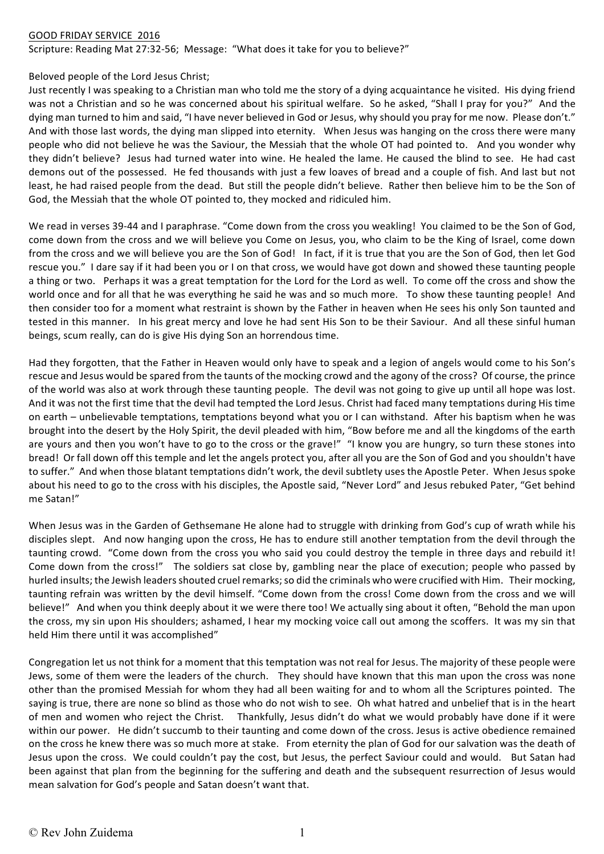## GOOD FRIDAY SERVICE 2016

Scripture: Reading Mat 27:32-56; Message: "What does it take for you to believe?"

## Beloved people of the Lord Jesus Christ:

Just recently I was speaking to a Christian man who told me the story of a dying acquaintance he visited. His dying friend was not a Christian and so he was concerned about his spiritual welfare. So he asked, "Shall I pray for you?" And the dying man turned to him and said, "I have never believed in God or Jesus, why should you pray for me now. Please don't." And with those last words, the dying man slipped into eternity. When Jesus was hanging on the cross there were many people who did not believe he was the Saviour, the Messiah that the whole OT had pointed to. And you wonder why they didn't believe? Jesus had turned water into wine. He healed the lame. He caused the blind to see. He had cast demons out of the possessed. He fed thousands with just a few loaves of bread and a couple of fish. And last but not least, he had raised people from the dead. But still the people didn't believe. Rather then believe him to be the Son of God, the Messiah that the whole OT pointed to, they mocked and ridiculed him.

We read in verses 39-44 and I paraphrase. "Come down from the cross you weakling! You claimed to be the Son of God, come down from the cross and we will believe you Come on Jesus, you, who claim to be the King of Israel, come down from the cross and we will believe you are the Son of God! In fact, if it is true that you are the Son of God, then let God rescue you." I dare say if it had been you or I on that cross, we would have got down and showed these taunting people a thing or two. Perhaps it was a great temptation for the Lord for the Lord as well. To come off the cross and show the world once and for all that he was everything he said he was and so much more. To show these taunting people! And then consider too for a moment what restraint is shown by the Father in heaven when He sees his only Son taunted and tested in this manner. In his great mercy and love he had sent His Son to be their Saviour. And all these sinful human beings, scum really, can do is give His dying Son an horrendous time.

Had they forgotten, that the Father in Heaven would only have to speak and a legion of angels would come to his Son's rescue and Jesus would be spared from the taunts of the mocking crowd and the agony of the cross? Of course, the prince of the world was also at work through these taunting people. The devil was not going to give up until all hope was lost. And it was not the first time that the devil had tempted the Lord Jesus. Christ had faced many temptations during His time on earth – unbelievable temptations, temptations beyond what you or I can withstand. After his baptism when he was brought into the desert by the Holy Spirit, the devil pleaded with him, "Bow before me and all the kingdoms of the earth are yours and then you won't have to go to the cross or the grave!" "I know you are hungry, so turn these stones into bread! Or fall down off this temple and let the angels protect you, after all you are the Son of God and you shouldn't have to suffer." And when those blatant temptations didn't work, the devil subtlety uses the Apostle Peter. When Jesus spoke about his need to go to the cross with his disciples, the Apostle said, "Never Lord" and Jesus rebuked Pater, "Get behind me Satan!" 

When Jesus was in the Garden of Gethsemane He alone had to struggle with drinking from God's cup of wrath while his disciples slept. And now hanging upon the cross, He has to endure still another temptation from the devil through the taunting crowd. "Come down from the cross you who said you could destroy the temple in three days and rebuild it! Come down from the cross!" The soldiers sat close by, gambling near the place of execution; people who passed by hurled insults; the Jewish leaders shouted cruel remarks; so did the criminals who were crucified with Him. Their mocking, taunting refrain was written by the devil himself. "Come down from the cross! Come down from the cross and we will believe!" And when you think deeply about it we were there too! We actually sing about it often, "Behold the man upon the cross, my sin upon His shoulders; ashamed, I hear my mocking voice call out among the scoffers. It was my sin that held Him there until it was accomplished"

Congregation let us not think for a moment that this temptation was not real for Jesus. The majority of these people were Jews, some of them were the leaders of the church. They should have known that this man upon the cross was none other than the promised Messiah for whom they had all been waiting for and to whom all the Scriptures pointed. The saying is true, there are none so blind as those who do not wish to see. Oh what hatred and unbelief that is in the heart of men and women who reject the Christ. Thankfully, Jesus didn't do what we would probably have done if it were within our power. He didn't succumb to their taunting and come down of the cross. Jesus is active obedience remained on the cross he knew there was so much more at stake. From eternity the plan of God for our salvation was the death of Jesus upon the cross. We could couldn't pay the cost, but Jesus, the perfect Saviour could and would. But Satan had been against that plan from the beginning for the suffering and death and the subsequent resurrection of Jesus would mean salvation for God's people and Satan doesn't want that.